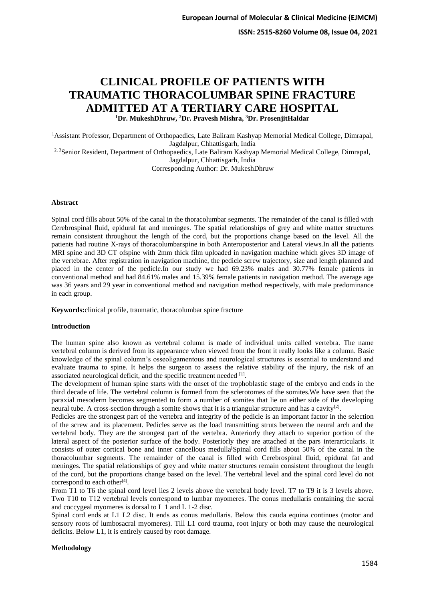**ISSN: 2515-8260 Volume 08, Issue 04, 2021**

# **CLINICAL PROFILE OF PATIENTS WITH TRAUMATIC THORACOLUMBAR SPINE FRACTURE ADMITTED AT A TERTIARY CARE HOSPITAL**

**<sup>1</sup>Dr. MukeshDhruw, <sup>2</sup>Dr. Pravesh Mishra, <sup>3</sup>Dr. ProsenjitHaldar**

<sup>1</sup>Assistant Professor, Department of Orthopaedics, Late Baliram Kashyap Memorial Medical College, Dimrapal, Jagdalpur, Chhattisgarh, India <sup>2, 3</sup>Senior Resident, Department of Orthopaedics, Late Baliram Kashyap Memorial Medical College, Dimrapal,

Jagdalpur, Chhattisgarh, India

Corresponding Author: Dr. MukeshDhruw

#### **Abstract**

Spinal cord fills about 50% of the canal in the thoracolumbar segments. The remainder of the canal is filled with Cerebrospinal fluid, epidural fat and meninges. The spatial relationships of grey and white matter structures remain consistent throughout the length of the cord, but the proportions change based on the level. All the patients had routine X-rays of thoracolumbarspine in both Anteroposterior and Lateral views.In all the patients MRI spine and 3D CT ofspine with 2mm thick film uploaded in navigation machine which gives 3D image of the vertebrae. After registration in navigation machine, the pedicle screw trajectory, size and length planned and placed in the center of the pedicle.In our study we had 69.23% males and 30.77% female patients in conventional method and had 84.61% males and 15.39% female patients in navigation method. The average age was 36 years and 29 year in conventional method and navigation method respectively, with male predominance in each group.

**Keywords:**clinical profile, traumatic, thoracolumbar spine fracture

## **Introduction**

The human spine also known as vertebral column is made of individual units called vertebra. The name vertebral column is derived from its appearance when viewed from the front it really looks like a column. Basic knowledge of the spinal column's osseoligamentous and neurological structures is essential to understand and evaluate trauma to spine. It helps the surgeon to assess the relative stability of the injury, the risk of an associated neurological deficit, and the specific treatment needed [1].

The development of human spine starts with the onset of the trophoblastic stage of the embryo and ends in the third decade of life. The vertebral column is formed from the sclerotomes of the somites.We have seen that the paraxial mesoderm becomes segmented to form a number of somites that lie on either side of the developing neural tube. A cross-section through a somite shows that it is a triangular structure and has a cavity<sup>[2]</sup>.

Pedicles are the strongest part of the vertebra and integrity of the pedicle is an important factor in the selection of the screw and its placement. Pedicles serve as the load transmitting struts between the neural arch and the vertebral body. They are the strongest part of the vertebra. Anteriorly they attach to superior portion of the lateral aspect of the posterior surface of the body. Posteriorly they are attached at the pars interarticularis. It consists of outer cortical bone and inner cancellous medulla[Spinal cord fills about 50% of the canal in the thoracolumbar segments. The remainder of the canal is filled with Cerebrospinal fluid, epidural fat and meninges. The spatial relationships of grey and white matter structures remain consistent throughout the length of the cord, but the proportions change based on the level. The vertebral level and the spinal cord level do not correspond to each other<sup>[4]</sup>.

From T1 to T6 the spinal cord level lies 2 levels above the vertebral body level. T7 to T9 it is 3 levels above. Two T10 to T12 vertebral levels correspond to lumbar myomeres. The conus medullaris containing the sacral and coccygeal myomeres is dorsal to L 1 and L 1-2 disc.

Spinal cord ends at L1 L2 disc. It ends as conus medullaris. Below this cauda equina continues (motor and sensory roots of lumbosacral myomeres). Till L1 cord trauma, root injury or both may cause the neurological deficits. Below L1, it is entirely caused by root damage.

## **Methodology**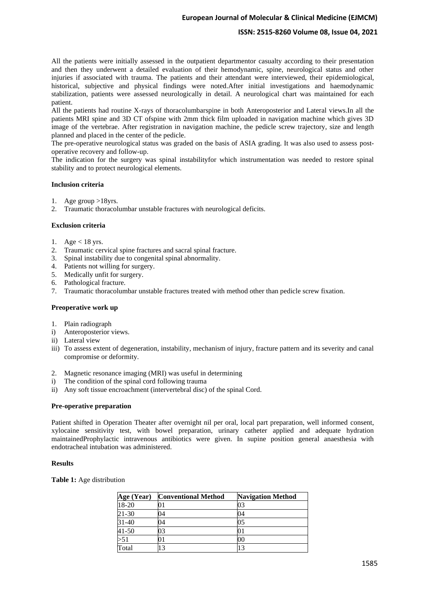# **European Journal of Molecular & Clinical Medicine (EJMCM)**

# **ISSN: 2515-8260 Volume 08, Issue 04, 2021**

All the patients were initially assessed in the outpatient departmentor casualty according to their presentation and then they underwent a detailed evaluation of their hemodynamic, spine, neurological status and other injuries if associated with trauma. The patients and their attendant were interviewed, their epidemiological, historical, subjective and physical findings were noted.After initial investigations and haemodynamic stabilization, patients were assessed neurologically in detail. A neurological chart was maintained for each patient.

All the patients had routine X-rays of thoracolumbarspine in both Anteroposterior and Lateral views.In all the patients MRI spine and 3D CT ofspine with 2mm thick film uploaded in navigation machine which gives 3D image of the vertebrae. After registration in navigation machine, the pedicle screw trajectory, size and length planned and placed in the center of the pedicle.

The pre-operative neurological status was graded on the basis of ASIA grading. It was also used to assess postoperative recovery and follow-up.

The indication for the surgery was spinal instabilityfor which instrumentation was needed to restore spinal stability and to protect neurological elements.

#### **Inclusion criteria**

- 1. Age group >18yrs.
- 2. Traumatic thoracolumbar unstable fractures with neurological deficits.

#### **Exclusion criteria**

- 1. Age  $<$  18 yrs.
- 2. Traumatic cervical spine fractures and sacral spinal fracture.
- 3. Spinal instability due to congenital spinal abnormality.
- 4. Patients not willing for surgery.
- 5. Medically unfit for surgery.
- 6. Pathological fracture.
- 7. Traumatic thoracolumbar unstable fractures treated with method other than pedicle screw fixation.

#### **Preoperative work up**

- 1. Plain radiograph
- i) Anteroposterior views.
- ii) Lateral view
- iii) To assess extent of degeneration, instability, mechanism of injury, fracture pattern and its severity and canal compromise or deformity.
- 2. Magnetic resonance imaging (MRI) was useful in determining
- i) The condition of the spinal cord following trauma
- ii) Any soft tissue encroachment (intervertebral disc) of the spinal Cord.

#### **Pre-operative preparation**

Patient shifted in Operation Theater after overnight nil per oral, local part preparation, well informed consent, xylocaine sensitivity test, with bowel preparation, urinary catheter applied and adequate hydration maintainedProphylactic intravenous antibiotics were given. In supine position general anaesthesia with endotracheal intubation was administered.

#### **Results**

**Table 1:** Age distribution

| Age (Year) | <b>Conventional Method</b> | <b>Navigation Method</b> |
|------------|----------------------------|--------------------------|
| 18-20      |                            |                          |
| 21-30      | 04                         | )4                       |
| 31-40      | 04                         | 05                       |
| $41 - 50$  | 03                         |                          |
| $-51$      |                            | OO.                      |
| Total      | 3                          | 13                       |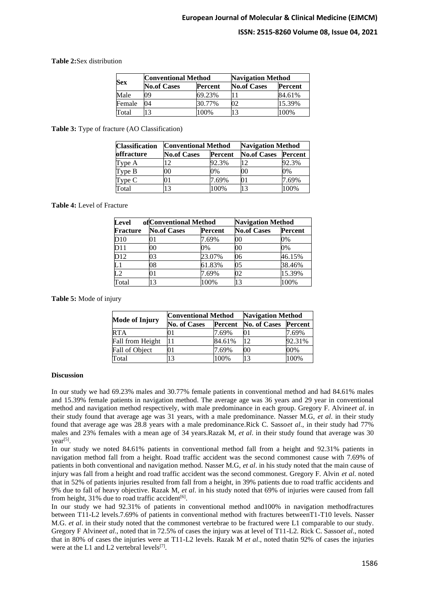# **ISSN: 2515-8260 Volume 08, Issue 04, 2021**

#### **Table 2:**Sex distribution

| <b>Sex</b> | <b>Conventional Method</b> |         |                    | <b>Navigation Method</b> |  |
|------------|----------------------------|---------|--------------------|--------------------------|--|
|            | <b>No.of Cases</b>         | Percent | <b>No.of Cases</b> | <b>Percent</b>           |  |
| Male       | 09                         | 69.23%  |                    | 84.61%                   |  |
| Female     | 04                         | 30.77%  | )2                 | 15.39%                   |  |
| Total      | 3                          | 100%    | 13                 | 100%                     |  |

#### **Table 3:** Type of fracture (AO Classification)

| <b>Classification</b> | <b>Conventional Method</b> |                | <b>Navigation Method</b> |                |
|-----------------------|----------------------------|----------------|--------------------------|----------------|
| <b>offracture</b>     | <b>No.of Cases</b>         | <b>Percent</b> | <b>No.of Cases</b>       | <b>Percent</b> |
| Type A                | $\overline{2}$             | 92.3%          | 12                       | 92.3%          |
| Type B                | 00                         | 0%             | 00                       | 0%             |
| Type C                | 01                         | 7.69%          | 01                       | 7.69%          |
| Total                 | 13                         | 100%           | 13                       | 100%           |

#### **Table 4:** Level of Fracture

| Level           |                    | of Conventional Method |                    | <b>Navigation Method</b> |  |
|-----------------|--------------------|------------------------|--------------------|--------------------------|--|
| <b>Fracture</b> | <b>No.of Cases</b> | Percent                | <b>No.of Cases</b> | <b>Percent</b>           |  |
| D10             |                    | 7.69%                  | 00                 | 0%                       |  |
| D11             | 00                 | 0%                     | 00                 | 0%                       |  |
| D12             | 03                 | 23.07%                 | 06                 | 46.15%                   |  |
| $\mathbf{L}1$   | 08                 | 61.83%                 | 05                 | 38.46%                   |  |
| L <sub>2</sub>  | 01                 | 7.69%                  | 02                 | 15.39%                   |  |
| Total           | 13                 | 100%                   | 13                 | 100%                     |  |

**Table 5:** Mode of injury

|                       | Conventional Method |         | <b>Navigation Method</b> |                |
|-----------------------|---------------------|---------|--------------------------|----------------|
| <b>Mode of Injury</b> | <b>No. of Cases</b> | Percent | No. of Cases             | <b>Percent</b> |
| <b>RTA</b>            | 11                  | 7.69%   | 01                       | 7.69%          |
| Fall from Height      | 11                  | 84.61%  | 12                       | 92.31%         |
| Fall of Object        | )1                  | 7.69%   | 00                       | 00%            |
| Total                 | 13                  | 100%    | 13                       | 100%           |

#### **Discussion**

In our study we had 69.23% males and 30.77% female patients in conventional method and had 84.61% males and 15.39% female patients in navigation method. The average age was 36 years and 29 year in conventional method and navigation method respectively, with male predominance in each group. Gregory F. Alvine*et al*. in their study found that average age was 31 years, with a male predominance. Nasser M.G, *et al*. in their study found that average age was 28.8 years with a male predominance.Rick C. Sasso*et al*., in their study had 77% males and 23% females with a mean age of 34 years.Razak M, *et al*. in their study found that average was 30 year<sup>[5]</sup>.

In our study we noted 84.61% patients in conventional method fall from a height and 92.31% patients in navigation method fall from a height. Road traffic accident was the second commonest cause with 7.69% of patients in both conventional and navigation method. Nasser M.G, *et al*. in his study noted that the main cause of injury was fall from a height and road traffic accident was the second commonest. Gregory F. Alvin *et al*. noted that in 52% of patients injuries resulted from fall from a height, in 39% patients due to road traffic accidents and 9% due to fall of heavy objective. Razak M, *et al*. in his study noted that 69% of injuries were caused from fall from height, 31% due to road traffic accident<sup>[6]</sup>.

In our study we had 92.31% of patients in conventional method and100% in navigation methodfractures between T11-L2 levels.7.69% of patients in conventional method with fractures betweenT1-T10 levels. Nasser M.G. *et al*. in their study noted that the commonest vertebrae to be fractured were L1 comparable to our study. Gregory F Alvine*et al*., noted that in 72.5% of cases the injury was at level of T11-L2. Rick C. Sasso*et al*., noted that in 80% of cases the injuries were at T11-L2 levels. Razak M *et al*., noted thatin 92% of cases the injuries were at the L1 and L2 vertebral levels $[7]$ .